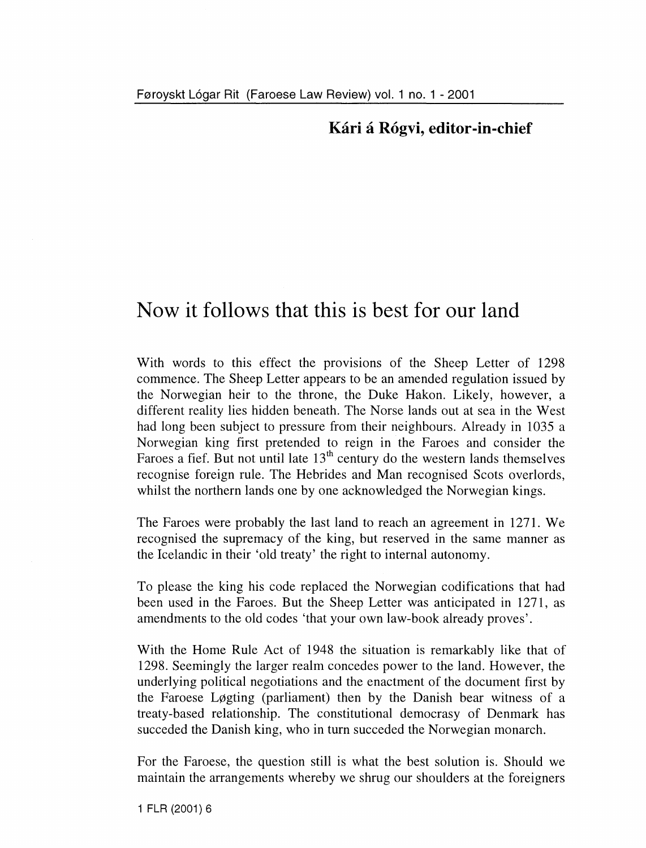## **Kari a R6gvi, editor-in-chief**

## **Now it follows that this is hest for our land**

With words to this effect the provisions of the Sheep Letter of 1298 commence. The Sheep Letter appears to be an amended regulation issued by the Norwegian heir to the throne, the Duke Hakon. Likely, however, a different reality Iies hidden beneath. The Norse lands out at sea in the West had long been subject to pressure from their neighbours. Already in 1035 a Norwegian king first pretended to reign in the Faroes and consider the Faroes a fief. But not until late  $13<sup>th</sup>$  century do the western lands themselves recognise foreign rule. The Hebrides and Man recognised Scots overlords, whilst the northern lands one by one acknowledged the Norwegian kings.

The Faroes were probably the last land to reach an agreement in 1271. We recognised the supremacy of the king, but reserved in the same manner as the leelandie in their 'old treaty' the right to internal autonomy.

To piease the king his code replaced the Norwegian codifications that had been used in the Faroes. But the Sheep Letter was anticipated in 1271, as amendments to the old codes 'that your own law-book already proves'.

With the Home Rule Aet of 1948 the situation is remarkably like that of 1298. Seemingly the larger realm concedes power to the land. However, the underlying political negotiations and the enactment of the document first by the Faroese Løgting (parliament) then by the Danish bear witness of a treaty-based relationship. The constitutional democrasy of Denmark has succeded the Danish king, who in turn succeded the Norwegian monarch.

For the Faroese, the question still is what the best solution is. Should we maintain the arrangements whereby we shrug our shoulders at the foreigners